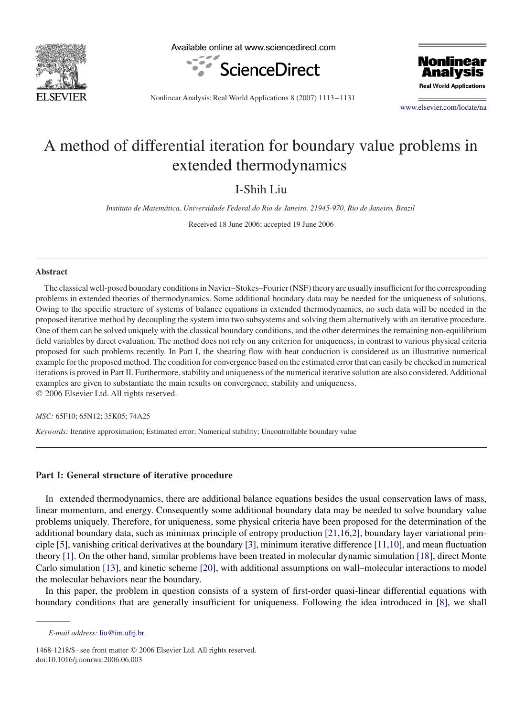<span id="page-0-0"></span>

Available online at www.sciencedirect.com





Nonlinear Analysis: Real World Applications 8 (2007) 1113 – 1131

[www.elsevier.com/locate/na](http://www.elsevier.com/locate/na)

# A method of differential iteration for boundary value problems in extended thermodynamics

I-Shih Liu

*Instituto de Matemática, Universidade Federal do Rio de Janeiro, 21945-970, Rio de Janeiro, Brazil*

Received 18 June 2006; accepted 19 June 2006

#### **Abstract**

The classical well-posed boundary conditions in Navier–Stokes–Fourier (NSF) theory are usually insufficient for the corresponding problems in extended theories of thermodynamics. Some additional boundary data may be needed for the uniqueness of solutions. Owing to the specific structure of systems of balance equations in extended thermodynamics, no such data will be needed in the proposed iterative method by decoupling the system into two subsystems and solving them alternatively with an iterative procedure. One of them can be solved uniquely with the classical boundary conditions, and the other determines the remaining non-equilibrium field variables by direct evaluation. The method does not rely on any criterion for uniqueness, in contrast to various physical criteria proposed for such problems recently. In Part I, the shearing flow with heat conduction is considered as an illustrative numerical example for the proposed method. The condition for convergence based on the estimated error that can easily be checked in numerical iterations is proved in Part II. Furthermore, stability and uniqueness of the numerical iterative solution are also considered.Additional examples are given to substantiate the main results on convergence, stability and uniqueness. © 2006 Elsevier Ltd. All rights reserved.

*MSC:* 65F10; 65N12; 35K05; 74A25

*Keywords:* Iterative approximation; Estimated error; Numerical stability; Uncontrollable boundary value

## **Part I: General structure of iterative procedure**

In extended thermodynamics, there are additional balance equations besides the usual conservation laws of mass, linear momentum, and energy. Consequently some additional boundary data may be needed to solve boundary value problems uniquely. Therefore, for uniqueness, some physical criteria have been proposed for the determination of the additional boundary data, such as minimax principle of entropy production [21,16,2], boundary layer variational principle [\[5\],](#page-17-0) vanishing critical derivatives at the boundary [\[3\],](#page-17-0) minimum iterative difference [11,10], and mean fluctuation theory [\[1\].](#page-17-0) On the other hand, similar problems have been treated in molecular dynamic simulation [\[18\],](#page-18-0) direct Monte Carlo simulation [\[13\],](#page-18-0) and kinetic scheme [\[20\],](#page-18-0) with additional assumptions on wall–molecular interactions to model the molecular behaviors near the boundary.

In this paper, the problem in question consists of a system of first-order quasi-linear differential equations with boundary conditions that are generally insufficient for uniqueness. Following the idea introduced in [\[8\],](#page-17-0) we shall

*E-mail address:* [liu@im.ufrj.br.](mailto:liu@im.ufrj.br)

<sup>1468-1218/\$ -</sup> see front matter © 2006 Elsevier Ltd. All rights reserved. doi:10.1016/j.nonrwa.2006.06.003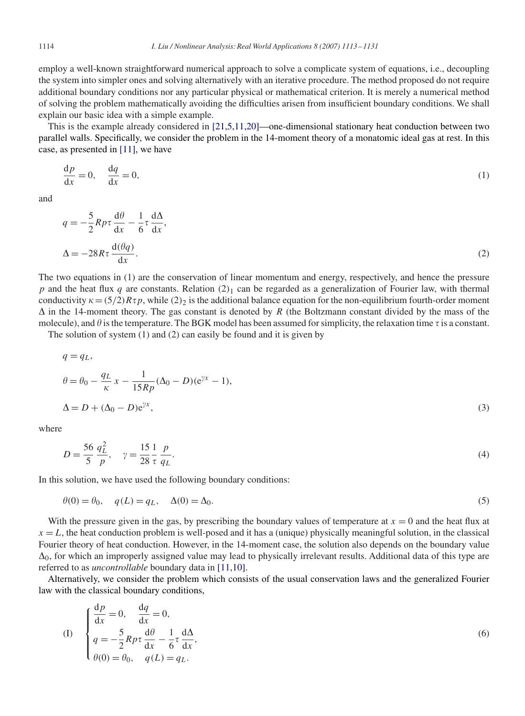1114 *I. Liu / Nonlinear Analysis: Real World Applications 8 (2007) 1113 – 1131*

employ a well-known straightforward numerical approach to solve a complicate system of equations, i.e., decoupling the system into simpler ones and solving alternatively with an iterative procedure. The method proposed do not require additional boundary conditions nor any particular physical or mathematical criterion. It is merely a numerical method of solving the problem mathematically avoiding the difficulties arisen from insufficient boundary conditions. We shall explain our basic idea with a simple example.

This is the example already considered in [21,5,11,20]—one-dimensional stationary heat conduction between two parallel walls. Specifically, we consider the problem in the 14-moment theory of a monatomic ideal gas at rest. In this case, as presented in [\[11\],](#page-17-0) we have

$$
\frac{\mathrm{d}p}{\mathrm{d}x} = 0, \quad \frac{\mathrm{d}q}{\mathrm{d}x} = 0,\tag{1}
$$

and

$$
q = -\frac{5}{2} R p \tau \frac{d\theta}{dx} - \frac{1}{6} \tau \frac{d\Delta}{dx},
$$
  

$$
\Delta = -28 R \tau \frac{d(\theta q)}{dx}.
$$
 (2)

The two equations in (1) are the conservation of linear momentum and energy, respectively, and hence the pressure p and the heat flux q are constants. Relation  $(2)_1$  can be regarded as a generalization of Fourier law, with thermal conductivity  $\kappa = (5/2)R\tau p$ , while  $(2)_2$  is the additional balance equation for the non-equilibrium fourth-order moment  $\Delta$  in the 14-moment theory. The gas constant is denoted by R (the Boltzmann constant divided by the mass of the molecule), and  $\theta$  is the temperature. The BGK model has been assumed for simplicity, the relaxation time  $\tau$  is a constant.

The solution of system (1) and (2) can easily be found and it is given by

$$
q = q_L,
$$
  
\n
$$
\theta = \theta_0 - \frac{q_L}{\kappa} x - \frac{1}{15Rp} (\Delta_0 - D)(e^{\gamma x} - 1),
$$
  
\n
$$
\Delta = D + (\Delta_0 - D)e^{\gamma x},
$$
\n(3)

where

$$
D = \frac{56}{5} \frac{q_L^2}{p}, \quad \gamma = \frac{15}{28} \frac{1}{\tau} \frac{p}{q_L}.
$$
 (4)

In this solution, we have used the following boundary conditions:

$$
\theta(0) = \theta_0, \quad q(L) = q_L, \quad \Delta(0) = \Delta_0.
$$
\n(5)

With the pressure given in the gas, by prescribing the boundary values of temperature at  $x = 0$  and the heat flux at  $x = L$ , the heat conduction problem is well-posed and it has a (unique) physically meaningful solution, in the classical Fourier theory of heat conduction. However, in the 14-moment case, the solution also depends on the boundary value  $\Delta_0$ , for which an improperly assigned value may lead to physically irrelevant results. Additional data of this type are referred to as *uncontrollable* boundary data in [11,10].

Alternatively, we consider the problem which consists of the usual conservation laws and the generalized Fourier law with the classical boundary conditions,

(I) 
$$
\begin{cases} \frac{dp}{dx} = 0, & \frac{dq}{dx} = 0, \\ q = -\frac{5}{2} R p \tau \frac{d\theta}{dx} - \frac{1}{6} \tau \frac{d\Delta}{dx}, \\ \theta(0) = \theta_0, & q(L) = q_L. \end{cases}
$$
 (6)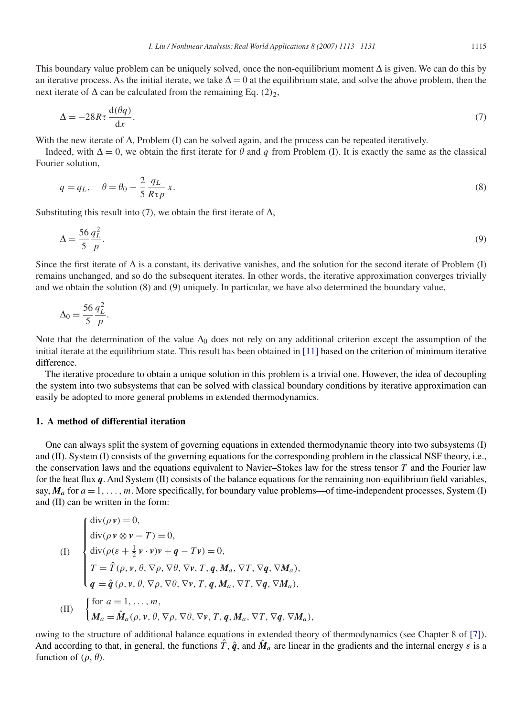$$
\Delta = -28R\tau \frac{d(\theta q)}{dx}.\tag{7}
$$

With the new iterate of  $\Delta$ , Problem (I) can be solved again, and the process can be repeated iteratively.

Indeed, with  $\Delta = 0$ , we obtain the first iterate for  $\theta$  and  $q$  from Problem (I). It is exactly the same as the classical Fourier solution,

$$
q = q_L, \quad \theta = \theta_0 - \frac{2}{5} \frac{q_L}{R \tau p} x. \tag{8}
$$

Substituting this result into (7), we obtain the first iterate of  $\Delta$ ,

$$
\Delta = \frac{56}{5} \frac{q_L^2}{p}.\tag{9}
$$

Since the first iterate of  $\Delta$  is a constant, its derivative vanishes, and the solution for the second iterate of Problem (I) remains unchanged, and so do the subsequent iterates. In other words, the iterative approximation converges trivially and we obtain the solution (8) and (9) uniquely. In particular, we have also determined the boundary value,

$$
\Delta_0 = \frac{56}{5} \frac{q_L^2}{p}.
$$

Note that the determination of the value  $\Delta_0$  does not rely on any additional criterion except the assumption of the initial iterate at the equilibrium state. This result has been obtained in [\[11\]](#page-17-0) based on the criterion of minimum iterative difference.

The iterative procedure to obtain a unique solution in this problem is a trivial one. However, the idea of decoupling the system into two subsystems that can be solved with classical boundary conditions by iterative approximation can easily be adopted to more general problems in extended thermodynamics.

# **1. A method of differential iteration**

One can always split the system of governing equations in extended thermodynamic theory into two subsystems (I) and (II). System (I) consists of the governing equations for the corresponding problem in the classical NSF theory, i.e., the conservation laws and the equations equivalent to Navier–Stokes law for the stress tensor  $T$  and the Fourier law for the heat flux *q*. And System (II) consists of the balance equations for the remaining non-equilibrium field variables, say,  $M_a$  for  $a = 1, \ldots, m$ . More specifically, for boundary value problems—of time-independent processes, System (I) and (II) can be written in the form:

(I)

\n
$$
\begin{cases}\n\text{div}(\rho \mathbf{v}) = 0, \\
\text{div}(\rho \mathbf{v} \otimes \mathbf{v} - T) = 0, \\
\text{div}(\rho(\varepsilon + \frac{1}{2}\mathbf{v} \cdot \mathbf{v})\mathbf{v} + \mathbf{q} - T\mathbf{v}) = 0, \\
T = \hat{T}(\rho, \mathbf{v}, \theta, \nabla \rho, \nabla \theta, \nabla \mathbf{v}, T, \mathbf{q}, M_a, \nabla T, \nabla \mathbf{q}, \nabla M_a), \\
\mathbf{q} = \hat{\mathbf{q}}(\rho, \mathbf{v}, \theta, \nabla \rho, \nabla \theta, \nabla \mathbf{v}, T, \mathbf{q}, M_a, \nabla T, \nabla \mathbf{q}, \nabla M_a), \\
\text{(II)} \quad\n\begin{cases}\n\text{for } a = 1, \dots, m, \\
M_a = \hat{M}_a(\rho, \mathbf{v}, \theta, \nabla \rho, \nabla \theta, \nabla \mathbf{v}, T, \mathbf{q}, M_a, \nabla T, \nabla \mathbf{q}, \nabla M_a).\n\end{cases}\n\end{cases}
$$

owing to the structure of additional balance equations in extended theory of thermodynamics (see Chapter 8 of [\[7\]\)](#page-17-0). And according to that, in general, the functions  $\hat{T}$ ,  $\hat{q}$ , and  $\hat{M}_a$  are linear in the gradients and the internal energy  $\varepsilon$  is a function of  $(\rho, \theta)$ .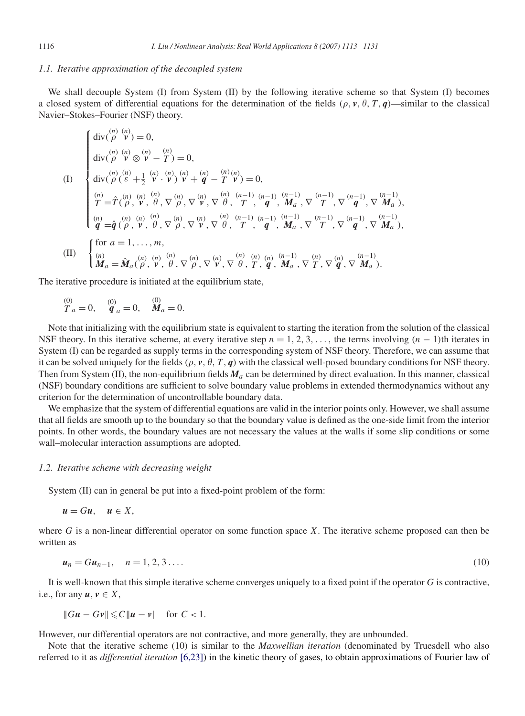## *1.1. Iterative approximation of the decoupled system*

We shall decouple System (I) from System (II) by the following iterative scheme so that System (I) becomes a closed system of differential equations for the determination of the fields ( $\rho$ ,  $\nu$ ,  $\theta$ ,  $T$ ,  $q$ )—similar to the classical Navier–Stokes–Fourier (NSF) theory.

$$
(I) \begin{cases} \operatorname{div}(\stackrel{(n)}{\rho}\stackrel{(n)}{\mathcal{V}}) = 0, \\ \operatorname{div}(\stackrel{(n)}{\rho}\stackrel{(n)}{\mathcal{V}} \otimes \stackrel{(n)}{\mathcal{V}} - T) = 0, \\ \operatorname{div}(\stackrel{(n)}{\rho}(\stackrel{(n)}{\varepsilon} + \frac{1}{2} \stackrel{(n)}{\mathcal{V}} \cdot \stackrel{(n)}{\mathcal{V}}) \stackrel{(n)}{\mathcal{V}} + \stackrel{(n)}{q} - \stackrel{(n)}{T} \stackrel{(n)}{\mathcal{V}}) = 0, \\ \frac{(n)}{T} = \hat{T}(\stackrel{(n)}{\rho}, \stackrel{(n)}{\mathcal{V}}, \stackrel{(n)}{\theta}, \nabla \stackrel{(n)}{\rho}, \nabla \stackrel{(n)}{\mathcal{V}}, \nabla \stackrel{(n)}{\theta}, \stackrel{(n-1)}{T}, \stackrel{(n-1)}{q}, \stackrel{(n-1)}{M_a}, \nabla \stackrel{(n-1)}{T}, \nabla \stackrel{(n-1)}{q}, \nabla \stackrel{(n-1)}{M_a}), \\ \frac{(n)}{q} = \hat{q}(\stackrel{(n)}{\rho}, \stackrel{(n)}{\mathcal{V}}, \stackrel{(n)}{\theta}, \nabla \stackrel{(n)}{\rho}, \nabla \stackrel{(n)}{\rho}, \nabla \stackrel{(n)}{\mathcal{V}}, \nabla \stackrel{(n)}{\theta}, \stackrel{(n-1)}{T}, \stackrel{(n-1)}{q}, \stackrel{(n-1)}{M_a}, \nabla \stackrel{(n-1)}{T}, \nabla \stackrel{(n-1)}{q}, \nabla \stackrel{(n-1)}{M_a}), \\ \end{cases}
$$
\n
$$
(II) \begin{cases} \text{for } a = 1, \dots, m, \\ M_a = \hat{M}_a(\stackrel{(n)}{\rho}, \stackrel{(n)}{\mathcal{V}}, \stackrel{(n)}{\theta}, \nabla \stackrel{(n)}{\rho}, \nabla \stackrel{(n)}{\rho}, \nabla \stackrel{(n)}{\mathcal{V}}, \nabla \stackrel{(n)}{\theta}, \stackrel{(n)}{T}, \stackrel{(n)}{q}, \stackrel{(n)}{M_a}, \nabla \stackrel{(n)}{T}, \nabla \stackrel{(n)}{q}, \nabla \stackrel{(n-1)}{M_a}). \end{cases}
$$

The iterative procedure is initiated at the equilibrium state,

$$
\mathop{T_a}\limits^{(0)}=0, \quad \mathop{q}\limits^{(0)}{}_{a}=0, \quad \mathop{M_a}\limits^{(0)}=0.
$$

Note that initializing with the equilibrium state is equivalent to starting the iteration from the solution of the classical NSF theory. In this iterative scheme, at every iterative step  $n = 1, 2, 3, \ldots$ , the terms involving  $(n - 1)$ th iterates in System (I) can be regarded as supply terms in the corresponding system of NSF theory. Therefore, we can assume that it can be solved uniquely for the fields  $(\rho, v, \theta, T, q)$  with the classical well-posed boundary conditions for NSF theory. Then from System (II), the non-equilibrium fields  $M_a$  can be determined by direct evaluation. In this manner, classical (NSF) boundary conditions are sufficient to solve boundary value problems in extended thermodynamics without any criterion for the determination of uncontrollable boundary data.

We emphasize that the system of differential equations are valid in the interior points only. However, we shall assume that all fields are smooth up to the boundary so that the boundary value is defined as the one-side limit from the interior points. In other words, the boundary values are not necessary the values at the walls if some slip conditions or some wall–molecular interaction assumptions are adopted.

# *1.2. Iterative scheme with decreasing weight*

System (II) can in general be put into a fixed-point problem of the form:

$$
u=Gu, \quad u\in X,
$$

where G is a non-linear differential operator on some function space X. The iterative scheme proposed can then be written as

$$
u_n = Gu_{n-1}, \quad n = 1, 2, 3 \dots \tag{10}
$$

It is well-known that this simple iterative scheme converges uniquely to a fixed point if the operator G is contractive, i.e., for any  $u, v \in X$ ,

$$
||Gu - Gv|| \leq C||u - v|| \quad \text{for } C < 1.
$$

However, our differential operators are not contractive, and more generally, they are unbounded.

Note that the iterative scheme (10) is similar to the *Maxwellian iteration* (denominated by Truesdell who also referred to it as *differential iteration* [6,23]) in the kinetic theory of gases, to obtain approximations of Fourier law of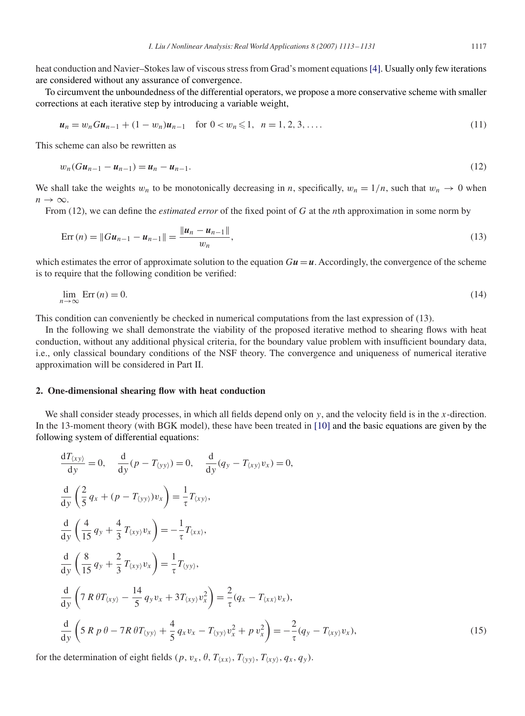heat conduction and Navier–Stokes law of viscous stress from Grad's moment equations[\[4\].](#page-17-0) Usually only few iterations are considered without any assurance of convergence.

To circumvent the unboundedness of the differential operators, we propose a more conservative scheme with smaller corrections at each iterative step by introducing a variable weight,

$$
\mathbf{u}_n = w_n G \mathbf{u}_{n-1} + (1 - w_n) \mathbf{u}_{n-1} \quad \text{for } 0 < w_n \leq 1, \ \ n = 1, 2, 3, \dots \tag{11}
$$

This scheme can also be rewritten as

$$
w_n(Gu_{n-1} - u_{n-1}) = u_n - u_{n-1}.
$$
\n(12)

We shall take the weights  $w_n$  to be monotonically decreasing in n, specifically,  $w_n = 1/n$ , such that  $w_n \to 0$  when  $n \to \infty$ .

From (12), we can define the *estimated error* of the fixed point of G at the nth approximation in some norm by

$$
Err(n) = ||Gu_{n-1} - u_{n-1}|| = \frac{||u_n - u_{n-1}||}{w_n},
$$
\n(13)

which estimates the error of approximate solution to the equation  $Gu = u$ . Accordingly, the convergence of the scheme is to require that the following condition be verified:

$$
\lim_{n \to \infty} \text{Err}(n) = 0. \tag{14}
$$

This condition can conveniently be checked in numerical computations from the last expression of (13).

In the following we shall demonstrate the viability of the proposed iterative method to shearing flows with heat conduction, without any additional physical criteria, for the boundary value problem with insufficient boundary data, i.e., only classical boundary conditions of the NSF theory. The convergence and uniqueness of numerical iterative approximation will be considered in Part II.

## **2. One-dimensional shearing flow with heat conduction**

 $\overline{a}$ 

We shall consider steady processes, in which all fields depend only on  $y$ , and the velocity field is in the  $x$ -direction. In the 13-moment theory (with BGK model), these have been treated in [\[10\]](#page-17-0) and the basic equations are given by the following system of differential equations:

$$
\frac{dT_{(xy)}}{dy} = 0, \quad \frac{d}{dy}(p - T_{(yy)}) = 0, \quad \frac{d}{dy}(q_y - T_{(xy)}v_x) = 0,\n\frac{d}{dy}\left(\frac{2}{5}q_x + (p - T_{(yy)})v_x\right) = \frac{1}{\tau}T_{(xy)},\n\frac{d}{dy}\left(\frac{4}{15}q_y + \frac{4}{3}T_{(xy)}v_x\right) = -\frac{1}{\tau}T_{(xx)},\n\frac{d}{dy}\left(\frac{8}{15}q_y + \frac{2}{3}T_{(xy)}v_x\right) = \frac{1}{\tau}T_{(yy)},\n\frac{d}{dy}\left(7R\theta T_{(xy)} - \frac{14}{5}q_yv_x + 3T_{(xy)}v_x^2\right) = \frac{2}{\tau}(q_x - T_{(xx)}v_x),\n\frac{d}{dy}\left(5Rp\theta - 7R\theta T_{(yy)} + \frac{4}{5}q_xv_x - T_{(yy)}v_x^2 + p v_x^2\right) = -\frac{2}{\tau}(q_y - T_{(xy)}v_x),
$$
\n(15)

for the determination of eight fields (p,  $v_x$ ,  $\theta$ ,  $T_{\langle xx \rangle}$ ,  $T_{\langle y \rangle}$ ,  $T_{\langle xy \rangle}$ ,  $q_x$ ,  $q_y$ ).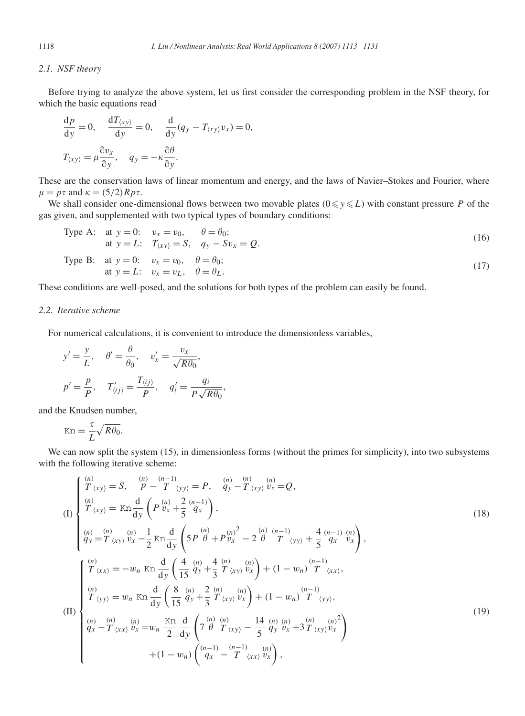# *2.1. NSF theory*

Before trying to analyze the above system, let us first consider the corresponding problem in the NSF theory, for which the basic equations read

$$
\frac{dp}{dy} = 0, \quad \frac{dT_{\langle xy \rangle}}{dy} = 0, \quad \frac{d}{dy}(q_y - T_{\langle xy \rangle} v_x) = 0,
$$
  

$$
T_{\langle xy \rangle} = \mu \frac{\partial v_x}{\partial y}, \quad q_y = -\kappa \frac{\partial \theta}{\partial y}.
$$

These are the conservation laws of linear momentum and energy, and the laws of Navier–Stokes and Fourier, where  $\mu = p\tau$  and  $\kappa = (5/2)Rp\tau$ .

We shall consider one-dimensional flows between two movable plates  $(0 \leq y \leq L)$  with constant pressure P of the gas given, and supplemented with two typical types of boundary conditions:

Type A: at 
$$
y = 0
$$
:  $v_x = v_0$ ,  $\theta = \theta_0$ ;  
at  $y = L$ :  $T_{(xy)} = S$ ,  $q_y - Sv_x = Q$ . (16)

Type B: at 
$$
y = 0
$$
:  $v_x = v_0$ ,  $\theta = \theta_0$ ;  
at  $y = L$ :  $v_x = v_L$ ,  $\theta = \theta_L$ . (17)

These conditions are well-posed, and the solutions for both types of the problem can easily be found.

# *2.2. Iterative scheme*

For numerical calculations, it is convenient to introduce the dimensionless variables,

$$
y' = \frac{y}{L}, \quad \theta' = \frac{\theta}{\theta_0}, \quad v'_x = \frac{v_x}{\sqrt{R\theta_0}},
$$

$$
p' = \frac{p}{P}, \quad T'_{\langle ij \rangle} = \frac{T_{\langle ij \rangle}}{P}, \quad q'_i = \frac{q_i}{P\sqrt{R\theta_0}},
$$

and the Knudsen number,

$$
Kn = \frac{\tau}{L} \sqrt{R\theta_0}.
$$

We can now split the system (15), in dimensionless forms (without the primes for simplicity), into two subsystems with the following iterative scheme:

$$
(18)
$$
\n
$$
\begin{cases}\n\int_{0}^{(n)} f(xy) = S, & \int_{0}^{(n)} f^{-1}(y)y = P, & \int_{0}^{(n)} f(xy) = Q, \\
\int_{0}^{(n)} f(xy) = \text{Kn} \frac{d}{dy} \left( P \frac{(n)}{v_x} + \frac{2}{5} \frac{(n-1)}{q_x} \right), \\
\int_{0}^{(n)} f(xy) = \int_{0}^{(n)} f(xy) \frac{d}{dx} \left( S P \frac{(n)}{y} + P \frac{(n)}{y} - 2 \frac{(n)(n-1)}{y} + \frac{4}{5} \frac{(n-1)(n)}{q_x} \right), \\
\int_{0}^{(n)} f(xy) = -w_n \text{Kn} \frac{d}{dy} \left( \frac{4}{15} \frac{(n)}{q_y} + \frac{4}{3} \frac{(n)}{y} \frac{(n)}{y} \right) + (1 - w_n) \frac{(n-1)}{T} \frac{(n-1)}{(x_x)}, \\
\int_{0}^{(n)} f(yy) = w_n \text{Kn} \frac{d}{dy} \left( \frac{8}{15} \frac{(n)}{q_y} + \frac{2}{3} \frac{(n)}{T} \frac{(n)}{(xy)} \frac{(n)}{y_x} \right) + (1 - w_n) \frac{(n-1)}{T} \frac{(n-1)}{(yy)}, \\
\int_{0}^{(n)} f(yy) = w_n \text{Kn} \frac{d}{dy} \left( \frac{8}{15} \frac{(n)}{q_y} + \frac{2}{3} \frac{(n)}{T} \frac{(n)}{(xy)} \frac{(n)}{y_x} \right) + (1 - w_n) \frac{(n-1)}{T} \frac{(n)}{(yy)},\n\end{cases}
$$
\n
$$
(19)
$$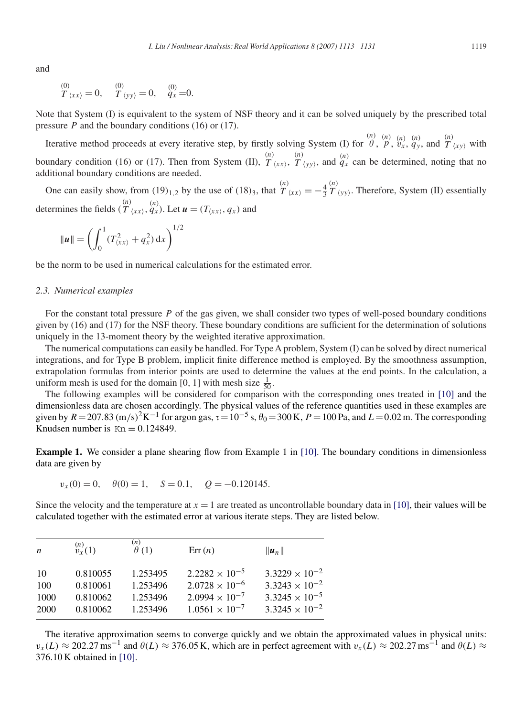and

$$
\mathop{T}\limits^{(0)}{\langle x x \rangle} = 0, \quad \mathop{T}\limits^{(0)}{\langle y y \rangle} = 0, \quad \mathop{q_x}\limits^{(0)}=0.
$$

Note that System (I) is equivalent to the system of NSF theory and it can be solved uniquely by the prescribed total pressure  $P$  and the boundary conditions (16) or (17).

Iterative method proceeds at every iterative step, by firstly solving System (I) for  $\theta$ ,  $\theta$ ,  $v_x$ ,  $q_y$ , and  $\theta$ <sub>(xy)</sub> with boundary condition (16) or (17). Then from System (II),  $T(x, x)$ ,  $T(y, y)$ , and  $q_x$  can be determined, noting that no additional boundary conditions are needed.

One can easily show, from  $(19)_{1,2}$  by the use of  $(18)_3$ , that  $\frac{(n)}{T} \langle x x \rangle = -\frac{4}{3}$  $(T(yy))$ . Therefore, System (II) essentially determines the fields  $\binom{n}{T}$ <sub>(xx)</sub>,  $q_x$ ). Let  $u = (T_{(xx)}, q_x)$  and

$$
\|\boldsymbol{u}\| = \left(\int_0^1 (T_{\langle xx \rangle}^2 + q_x^2) \, \mathrm{d}x\right)^{1/2}
$$

be the norm to be used in numerical calculations for the estimated error.

#### *2.3. Numerical examples*

For the constant total pressure  $P$  of the gas given, we shall consider two types of well-posed boundary conditions given by (16) and (17) for the NSF theory. These boundary conditions are sufficient for the determination of solutions uniquely in the 13-moment theory by the weighted iterative approximation.

The numerical computations can easily be handled. For Type A problem, System (I) can be solved by direct numerical integrations, and for Type B problem, implicit finite difference method is employed. By the smoothness assumption, extrapolation formulas from interior points are used to determine the values at the end points. In the calculation, a uniform mesh is used for the domain [0, 1] with mesh size  $\frac{1}{50}$ .

The following examples will be considered for comparison with the corresponding ones treated in [\[10\]](#page-17-0) and the dimensionless data are chosen accordingly. The physical values of the reference quantities used in these examples are given by  $R = 207.83 \text{ (m/s)}^2 \text{K}^{-1}$  for argon gas,  $\tau = 10^{-5} \text{ s}$ ,  $\theta_0 = 300 \text{ K}$ ,  $P = 100 \text{ Pa}$ , and  $L = 0.02 \text{ m}$ . The corresponding Knudsen number is  $Kn = 0.124849$ .

**Example 1.** We consider a plane shearing flow from Example 1 in [\[10\].](#page-17-0) The boundary conditions in dimensionless data are given by

$$
v_x(0) = 0
$$
,  $\theta(0) = 1$ ,  $S = 0.1$ ,  $Q = -0.120145$ .

Since the velocity and the temperature at  $x = 1$  are treated as uncontrollable boundary data in [\[10\],](#page-17-0) their values will be calculated together with the estimated error at various iterate steps. They are listed below.

| $\boldsymbol{n}$  | $\binom{n}{v_{r}(1)}$            | (n)<br>$\theta(1)$               | Err(n)                                                                        | $  u_n  $                                                                     |
|-------------------|----------------------------------|----------------------------------|-------------------------------------------------------------------------------|-------------------------------------------------------------------------------|
| 10<br>100<br>1000 | 0.810055<br>0.810061<br>0.810062 | 1.253495<br>1.253496<br>1.253496 | $2.2282 \times 10^{-5}$<br>$2.0728 \times 10^{-6}$<br>$2.0994 \times 10^{-7}$ | $3.3229 \times 10^{-2}$<br>$3.3243 \times 10^{-2}$<br>$3.3245 \times 10^{-5}$ |
| 2000              | 0.810062                         | 1.253496                         | $1.0561 \times 10^{-7}$                                                       | $3.3245 \times 10^{-2}$                                                       |
|                   |                                  |                                  |                                                                               |                                                                               |

The iterative approximation seems to converge quickly and we obtain the approximated values in physical units:  $v_x(L) \approx 202.27 \text{ ms}^{-1}$  and  $\theta(L) \approx 376.05 \text{ K}$ , which are in perfect agreement with  $v_x(L) \approx 202.27 \text{ ms}^{-1}$  and  $\theta(L) \approx$ 376.10 K obtained in [\[10\].](#page-17-0)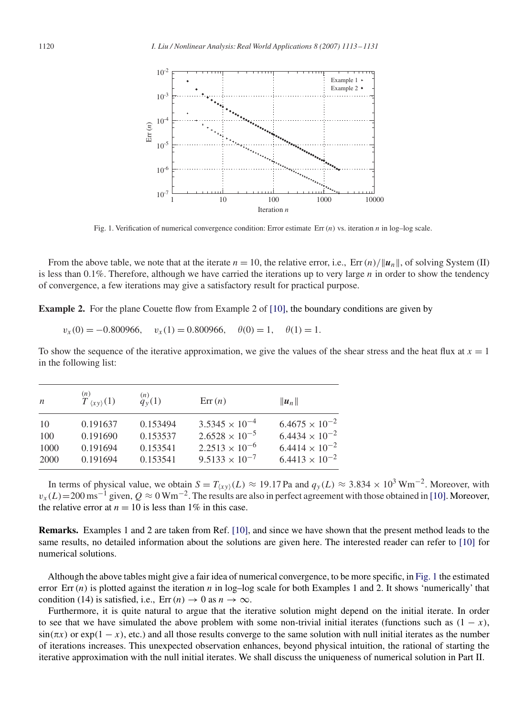

Fig. 1. Verification of numerical convergence condition: Error estimate Err  $(n)$  vs. iteration n in log–log scale.

From the above table, we note that at the iterate  $n = 10$ , the relative error, i.e., Err  $(n)/||u_n||$ , of solving System (II) is less than 0.1%. Therefore, although we have carried the iterations up to very large  $n$  in order to show the tendency of convergence, a few iterations may give a satisfactory result for practical purpose.

**Example 2.** For the plane Couette flow from Example 2 of [\[10\],](#page-17-0) the boundary conditions are given by

 $v_x(0) = -0.800966$ ,  $v_x(1) = 0.800966$ ,  $\theta(0) = 1$ ,  $\theta(1) = 1$ .

To show the sequence of the iterative approximation, we give the values of the shear stress and the heat flux at  $x = 1$ in the following list:

| $\boldsymbol{n}$ | $\sum_{(xy)}^{(n)}(1)$ | $\binom{n}{q_v(1)}$ | Err(n)                  | $  u_n  $               |
|------------------|------------------------|---------------------|-------------------------|-------------------------|
| -10              | 0.191637               | 0.153494            | $3.5345 \times 10^{-4}$ | $6.4675 \times 10^{-2}$ |
| 100              | 0.191690               | 0.153537            | $2.6528 \times 10^{-5}$ | $6.4434 \times 10^{-2}$ |
| 1000             | 0.191694               | 0.153541            | $2.2513 \times 10^{-6}$ | $6.4414 \times 10^{-2}$ |
| 2000             | 0.191694               | 0.153541            | $9.5133 \times 10^{-7}$ | $6.4413 \times 10^{-2}$ |

In terms of physical value, we obtain  $S = T_{xy}(L) \approx 19.17$  Pa and  $q_y(L) \approx 3.834 \times 10^3$  Wm<sup>-2</sup>. Moreover, with  $v_x(L)=200 \text{ ms}^{-1}$  given,  $Q \approx 0 \text{ Wm}^{-2}$ . The results are also in perfect agreement with those obtained in [\[10\].](#page-17-0) Moreover, the relative error at  $n = 10$  is less than 1% in this case.

**Remarks.** Examples 1 and 2 are taken from Ref. [\[10\],](#page-17-0) and since we have shown that the present method leads to the same results, no detailed information about the solutions are given here. The interested reader can refer to [\[10\]](#page-17-0) for numerical solutions.

Although the above tables might give a fair idea of numerical convergence, to be more specific, in Fig. 1 the estimated error Err $(n)$  is plotted against the iteration n in log–log scale for both Examples 1 and 2. It shows 'numerically' that condition (14) is satisfied, i.e., Err $(n) \rightarrow 0$  as  $n \rightarrow \infty$ .

Furthermore, it is quite natural to argue that the iterative solution might depend on the initial iterate. In order to see that we have simulated the above problem with some non-trivial initial iterates (functions such as  $(1 - x)$ ,  $sin(\pi x)$  or  $exp(1-x)$ , etc.) and all those results converge to the same solution with null initial iterates as the number of iterations increases. This unexpected observation enhances, beyond physical intuition, the rational of starting the iterative approximation with the null initial iterates. We shall discuss the uniqueness of numerical solution in Part II.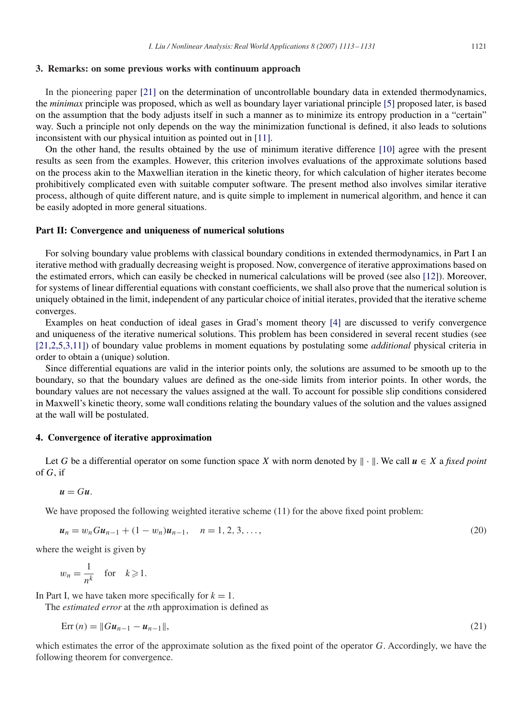## **3. Remarks: on some previous works with continuum approach**

In the pioneering paper [\[21\]](#page-18-0) on the determination of uncontrollable boundary data in extended thermodynamics, the *minimax* principle was proposed, which as well as boundary layer variational principle [\[5\]](#page-17-0) proposed later, is based on the assumption that the body adjusts itself in such a manner as to minimize its entropy production in a "certain" way. Such a principle not only depends on the way the minimization functional is defined, it also leads to solutions inconsistent with our physical intuition as pointed out in [\[11\].](#page-17-0)

On the other hand, the results obtained by the use of minimum iterative difference [\[10\]](#page-17-0) agree with the present results as seen from the examples. However, this criterion involves evaluations of the approximate solutions based on the process akin to the Maxwellian iteration in the kinetic theory, for which calculation of higher iterates become prohibitively complicated even with suitable computer software. The present method also involves similar iterative process, although of quite different nature, and is quite simple to implement in numerical algorithm, and hence it can be easily adopted in more general situations.

## **Part II: Convergence and uniqueness of numerical solutions**

For solving boundary value problems with classical boundary conditions in extended thermodynamics, in Part I an iterative method with gradually decreasing weight is proposed. Now, convergence of iterative approximations based on the estimated errors, which can easily be checked in numerical calculations will be proved (see also [\[12\]\)](#page-17-0). Moreover, for systems of linear differential equations with constant coefficients, we shall also prove that the numerical solution is uniquely obtained in the limit, independent of any particular choice of initial iterates, provided that the iterative scheme converges.

Examples on heat conduction of ideal gases in Grad's moment theory [\[4\]](#page-17-0) are discussed to verify convergence and uniqueness of the iterative numerical solutions. This problem has been considered in several recent studies (see [21,2,5,3,11]) of boundary value problems in moment equations by postulating some *additional* physical criteria in order to obtain a (unique) solution.

Since differential equations are valid in the interior points only, the solutions are assumed to be smooth up to the boundary, so that the boundary values are defined as the one-side limits from interior points. In other words, the boundary values are not necessary the values assigned at the wall. To account for possible slip conditions considered in Maxwell's kinetic theory, some wall conditions relating the boundary values of the solution and the values assigned at the wall will be postulated.

#### **4. Convergence of iterative approximation**

Let G be a differential operator on some function space X with norm denoted by  $\|\cdot\|$ . We call  $u \in X$  a *fixed point* of  $G$ , if

 $u = Gu$ .

We have proposed the following weighted iterative scheme (11) for the above fixed point problem:

$$
\mathbf{u}_n = w_n G \mathbf{u}_{n-1} + (1 - w_n) \mathbf{u}_{n-1}, \quad n = 1, 2, 3, \dots,
$$
\n<sup>(20)</sup>

where the weight is given by

 $w_n = \frac{1}{n^k}$  for  $k \ge 1$ .

In Part I, we have taken more specifically for  $k = 1$ .

The *estimated error* at the nth approximation is defined as

$$
Err(n) = ||Gu_{n-1} - u_{n-1}||,
$$
\n(21)

which estimates the error of the approximate solution as the fixed point of the operator G. Accordingly, we have the following theorem for convergence.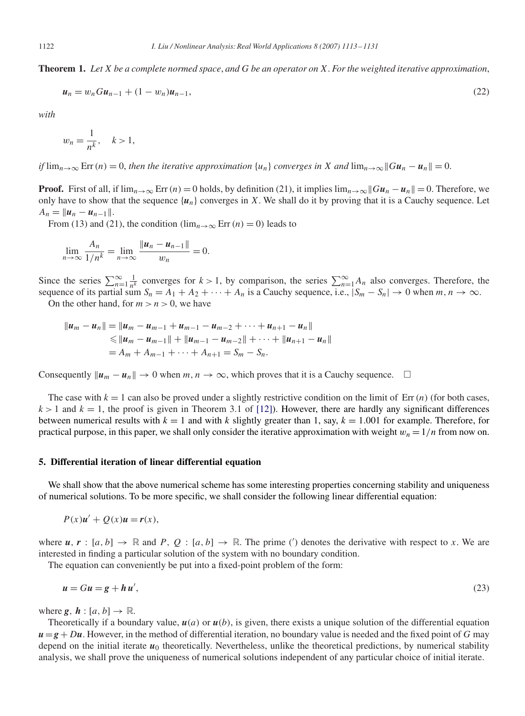**Theorem 1.** *Let* X *be a complete normed space*, *and* G *be an operator on* X. *For the weighted iterative approximation*,

$$
u_n = w_n Gu_{n-1} + (1 - w_n)u_{n-1}, \tag{22}
$$

*with*

$$
w_n = \frac{1}{n^k}, \quad k > 1,
$$

*if*  $\lim_{n\to\infty}$  Err(n) = 0, *then the iterative approximation* { $u_n$ } *converges in* X *and*  $\lim_{n\to\infty}$   $\|Gu_n - u_n \| = 0$ .

**Proof.** First of all, if  $\lim_{n\to\infty}$  Err(n) = 0 holds, by definition (21), it implies  $\lim_{n\to\infty} ||Gu_n - u_n || = 0$ . Therefore, we only have to show that the sequence  ${u_n}$  converges in X. We shall do it by proving that it is a Cauchy sequence. Let  $A_n = ||u_n - u_{n-1}||.$ 

From (13) and (21), the condition ( $\lim_{n\to\infty}$  Err $(n) = 0$ ) leads to

$$
\lim_{n \to \infty} \frac{A_n}{1/n^k} = \lim_{n \to \infty} \frac{\|u_n - u_{n-1}\|}{w_n} = 0.
$$

Since the series  $\sum_{n=1}^{\infty} \frac{1}{n^k}$  converges for  $k > 1$ , by comparison, the series  $\sum_{n=1}^{\infty} A_n$  also converges. Therefore, the sequence of its partial sum  $S_n = A_1 + A_2 + \cdots + A_n$  is a Cauchy sequence, i.e.,  $|S_m - S_n| \to 0$  when  $m, n \to \infty$ . On the other hand, for  $m > n > 0$ , we have

$$
||u_m - u_n|| = ||u_m - u_{m-1} + u_{m-1} - u_{m-2} + \cdots + u_{n+1} - u_n||
$$
  
\n
$$
\le ||u_m - u_{m-1}|| + ||u_{m-1} - u_{m-2}|| + \cdots + ||u_{n+1} - u_n||
$$
  
\n
$$
= A_m + A_{m-1} + \cdots + A_{n+1} = S_m - S_n.
$$

Consequently  $||u_m - u_n|| \to 0$  when  $m, n \to \infty$ , which proves that it is a Cauchy sequence.  $\square$ 

The case with  $k = 1$  can also be proved under a slightly restrictive condition on the limit of Err(n) (for both cases,  $k > 1$  and  $k = 1$ , the proof is given in Theorem 3.1 of [\[12\]\)](#page-17-0). However, there are hardly any significant differences between numerical results with  $k = 1$  and with k slightly greater than 1, say,  $k = 1.001$  for example. Therefore, for practical purpose, in this paper, we shall only consider the iterative approximation with weight  $w_n = 1/n$  from now on.

#### **5. Differential iteration of linear differential equation**

We shall show that the above numerical scheme has some interesting properties concerning stability and uniqueness of numerical solutions. To be more specific, we shall consider the following linear differential equation:

$$
P(x)u' + Q(x)u = r(x),
$$

where  $u, r : [a, b] \to \mathbb{R}$  and  $P, Q : [a, b] \to \mathbb{R}$ . The prime (') denotes the derivative with respect to x. We are interested in finding a particular solution of the system with no boundary condition.

The equation can conveniently be put into a fixed-point problem of the form:

$$
u = Gu = g + h u',\tag{23}
$$

where  $g, h : [a, b] \rightarrow \mathbb{R}$ .

Theoretically if a boundary value,  $u(a)$  or  $u(b)$ , is given, there exists a unique solution of the differential equation  $u = g + Du$ . However, in the method of differential iteration, no boundary value is needed and the fixed point of G may depend on the initial iterate  $u_0$  theoretically. Nevertheless, unlike the theoretical predictions, by numerical stability analysis, we shall prove the uniqueness of numerical solutions independent of any particular choice of initial iterate.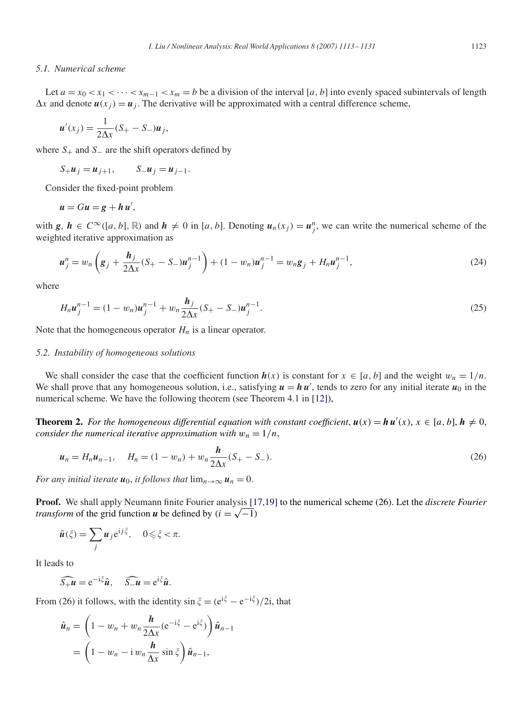## *5.1. Numerical scheme*

Let  $a = x_0 < x_1 < \cdots < x_{m-1} < x_m = b$  be a division of the interval [a, b] into evenly spaced subintervals of length  $\Delta x$  and denote  $u(x_j) = u_j$ . The derivative will be approximated with a central difference scheme,

$$
\mathbf{u}'(x_j) = \frac{1}{2\Delta x}(S_+ - S_-)\mathbf{u}_j,
$$

where  $S_+$  and  $S_-$  are the shift operators defined by

$$
S_+ u_j = u_{j+1}, \qquad S_- u_j = u_{j-1}.
$$

Consider the fixed-point problem

$$
u=Gu=g+hu',
$$

with *g*,  $h \in C^{\infty}([a, b], \mathbb{R})$  and  $h \neq 0$  in [a, b]. Denoting  $u_n(x_j) = u_j^n$ , we can write the numerical scheme of the weighted iterative approximation as

$$
u_j^n = w_n \left( g_j + \frac{h_j}{2\Delta x} (S_+ - S_-) u_j^{n-1} \right) + (1 - w_n) u_j^{n-1} = w_n g_j + H_n u_j^{n-1}, \tag{24}
$$

where

$$
H_n u_j^{n-1} = (1 - w_n)u_j^{n-1} + w_n \frac{h_j}{2\Delta x} (S_+ - S_-)u_j^{n-1}.
$$
\n(25)

Note that the homogeneous operator  $H_n$  is a linear operator.

#### *5.2. Instability of homogeneous solutions*

We shall consider the case that the coefficient function  $h(x)$  is constant for  $x \in [a, b]$  and the weight  $w_n = 1/n$ . We shall prove that any homogeneous solution, i.e., satisfying  $u = h u'$ , tends to zero for any initial iterate  $u_0$  in the numerical scheme. We have the following theorem (see Theorem 4.1 in [\[12\]\)](#page-17-0),

**Theorem 2.** For the homogeneous differential equation with constant coefficient,  $u(x) = h u'(x)$ ,  $x \in [a, b]$ ,  $h \neq 0$ , *consider the numerical iterative approximation with*  $w_n = 1/n$ ,

$$
u_n = H_n u_{n-1}, \quad H_n = (1 - w_n) + w_n \frac{h}{2\Delta x} (S_+ - S_-).
$$
 (26)

*For any initial iterate*  $u_0$ *, it follows that*  $\lim_{n\to\infty} u_n = 0$ *.* 

**Proof.** We shall apply Neumann finite Fourier analysis [17,19] to the numerical scheme (26). Let the *discrete Fourier transform* of the grid function *u* be defined by  $(i = \sqrt{-1})$ 

 $\cdot$  1

$$
\hat{u}(\xi) = \sum_j u_j e^{ij\xi}, \quad 0 \leq \xi < \pi.
$$

It leads to

 $\widehat{S_+ u} = e^{-i \xi} \hat{u}, \quad \widehat{S_- u} = e^{i \xi} \hat{u}.$ 

From (26) it follows, with the identity  $\sin \xi = (e^{i\xi} - e^{-i\xi})/2i$ , that

$$
\hat{\boldsymbol{u}}_n = \left(1 - w_n + w_n \frac{\boldsymbol{h}}{2\Delta x} (e^{-i\xi} - e^{i\xi})\right) \hat{\boldsymbol{u}}_n
$$

$$
= \left(1 - w_n - i w_n \frac{\boldsymbol{h}}{\Delta x} \sin \xi\right) \hat{\boldsymbol{u}}_{n-1},
$$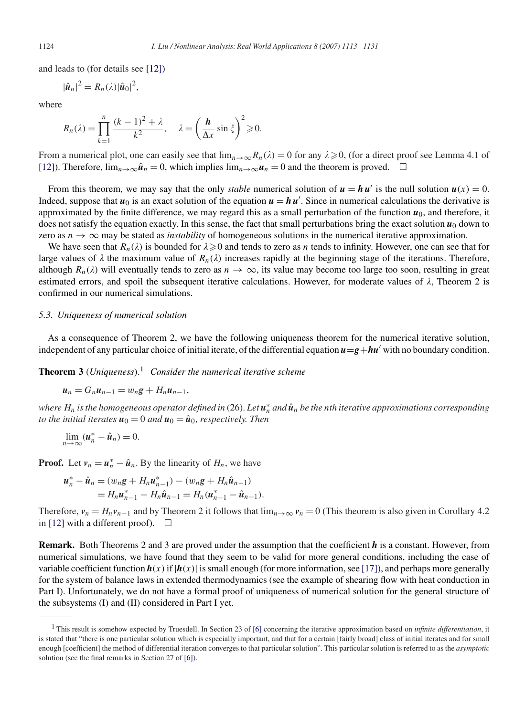and leads to (for details see [\[12\]\)](#page-17-0)

$$
|\hat{\boldsymbol{u}}_n|^2 = R_n(\lambda) |\hat{\boldsymbol{u}}_0|^2,
$$

where

$$
R_n(\lambda) = \prod_{k=1}^n \frac{(k-1)^2 + \lambda}{k^2}, \quad \lambda = \left(\frac{h}{\Delta x} \sin \xi\right)^2 \ge 0.
$$

From a numerical plot, one can easily see that  $\lim_{n\to\infty} R_n(\lambda) = 0$  for any  $\lambda \ge 0$ , (for a direct proof see Lemma 4.1 of [\[12\]\)](#page-17-0). Therefore,  $\lim_{n\to\infty} \hat{u}_n = 0$ , which implies  $\lim_{n\to\infty} u_n = 0$  and the theorem is proved.  $\square$ 

From this theorem, we may say that the only *stable* numerical solution of  $u = hu'$  is the null solution  $u(x) = 0$ . Indeed, suppose that  $u_0$  is an exact solution of the equation  $u = h u'$ . Since in numerical calculations the derivative is approximated by the finite difference, we may regard this as a small perturbation of the function  $u_0$ , and therefore, it does not satisfy the equation exactly. In this sense, the fact that small perturbations bring the exact solution  $u_0$  down to zero as  $n \to \infty$  may be stated as *instability* of homogeneous solutions in the numerical iterative approximation.

We have seen that  $R_n(\lambda)$  is bounded for  $\lambda \ge 0$  and tends to zero as *n* tends to infinity. However, one can see that for large values of  $\lambda$  the maximum value of  $R_n(\lambda)$  increases rapidly at the beginning stage of the iterations. Therefore, although  $R_n(\lambda)$  will eventually tends to zero as  $n \to \infty$ , its value may become too large too soon, resulting in great estimated errors, and spoil the subsequent iterative calculations. However, for moderate values of  $\lambda$ , Theorem 2 is confirmed in our numerical simulations.

#### *5.3. Uniqueness of numerical solution*

As a consequence of Theorem 2, we have the following uniqueness theorem for the numerical iterative solution, independent of any particular choice of initial iterate, of the differential equation  $u = g + hu'$  with no boundary condition.

**Theorem 3** (*Uniqueness*). <sup>1</sup> *Consider the numerical iterative scheme*

$$
u_n=G_nu_{n-1}=w_ng+H_nu_{n-1},
$$

 $\omega$  *where*  $H_n$  *is the homogeneous operator defined in* (26). Let  $u_n^*$  and  $\hat{u}_n$  be the nth iterative approximations corresponding *to the initial iterates*  $u_0 = 0$  *and*  $u_0 = \hat{u}_0$ , *respectively. Then* 

$$
\lim_{n\to\infty}(\boldsymbol{u}_n^*-\hat{\boldsymbol{u}}_n)=0.
$$

**Proof.** Let  $v_n = u_n^* - \hat{u}_n$ . By the linearity of  $H_n$ , we have

$$
\begin{aligned} \boldsymbol{u}_n^* - \hat{\boldsymbol{u}}_n &= (w_n \boldsymbol{g} + H_n \boldsymbol{u}_{n-1}^*) - (w_n \boldsymbol{g} + H_n \hat{\boldsymbol{u}}_{n-1}) \\ &= H_n \boldsymbol{u}_{n-1}^* - H_n \hat{\boldsymbol{u}}_{n-1} = H_n (\boldsymbol{u}_{n-1}^* - \hat{\boldsymbol{u}}_{n-1}). \end{aligned}
$$

Therefore,  $v_n = H_n v_{n-1}$  and by Theorem 2 it follows that  $\lim_{n\to\infty} v_n = 0$  (This theorem is also given in Corollary 4.2) in [\[12\]](#page-17-0) with a different proof).  $\Box$ 

**Remark.** Both Theorems 2 and 3 are proved under the assumption that the coefficient *h* is a constant. However, from numerical simulations, we have found that they seem to be valid for more general conditions, including the case of variable coefficient function  $h(x)$  if  $|h(x)|$  is small enough (for more information, see [\[17\]\)](#page-18-0), and perhaps more generally for the system of balance laws in extended thermodynamics (see the example of shearing flow with heat conduction in Part I). Unfortunately, we do not have a formal proof of uniqueness of numerical solution for the general structure of the subsystems (I) and (II) considered in Part I yet.

<sup>1</sup> This result is somehow expected by Truesdell. In Section 23 of [\[6\]](#page-17-0) concerning the iterative approximation based on *infinite differentiation*, it is stated that "there is one particular solution which is especially important, and that for a certain [fairly broad] class of initial iterates and for small enough [coefficient] the method of differential iteration converges to that particular solution". This particular solution is referred to as the *asymptotic* solution (see the final remarks in Section 27 of [\[6\]\)](#page-17-0).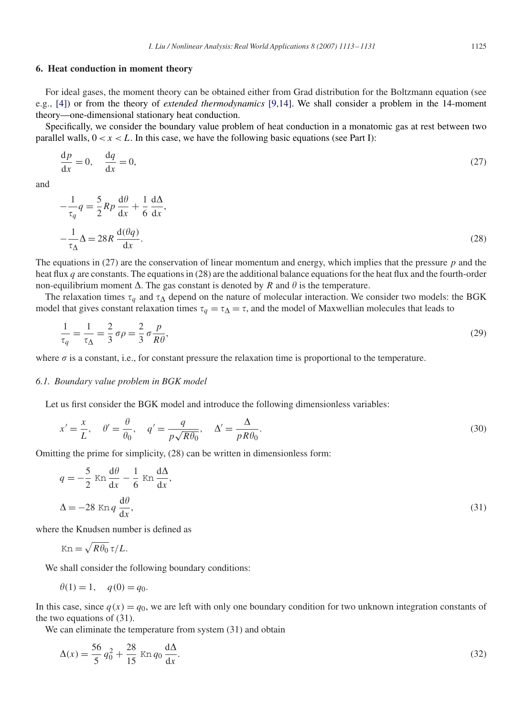## **6. Heat conduction in moment theory**

For ideal gases, the moment theory can be obtained either from Grad distribution for the Boltzmann equation (see e.g., [\[4\]\)](#page-17-0) or from the theory of *extended thermodynamics* [9,14]. We shall consider a problem in the 14-moment theory—one-dimensional stationary heat conduction.

Specifically, we consider the boundary value problem of heat conduction in a monatomic gas at rest between two parallel walls,  $0 < x < L$ . In this case, we have the following basic equations (see Part I):

$$
\frac{\mathrm{d}p}{\mathrm{d}x} = 0, \quad \frac{\mathrm{d}q}{\mathrm{d}x} = 0,\tag{27}
$$

and

$$
-\frac{1}{\tau_q}q = \frac{5}{2}Rp\frac{d\theta}{dx} + \frac{1}{6}\frac{d\Delta}{dx},
$$
  

$$
-\frac{1}{\tau_{\Delta}}\Delta = 28R\frac{d(\theta q)}{dx}.
$$
 (28)

The equations in  $(27)$  are the conservation of linear momentum and energy, which implies that the pressure p and the heat flux  $q$  are constants. The equations in (28) are the additional balance equations for the heat flux and the fourth-order non-equilibrium moment  $\Delta$ . The gas constant is denoted by R and  $\theta$  is the temperature.

The relaxation times  $\tau_q$  and  $\tau_\Delta$  depend on the nature of molecular interaction. We consider two models: the BGK model that gives constant relaxation times  $\tau_q = \tau_{\Delta} = \tau$ , and the model of Maxwellian molecules that leads to

$$
\frac{1}{\tau_q} = \frac{1}{\tau_\Delta} = \frac{2}{3} \sigma \rho = \frac{2}{3} \sigma \frac{p}{R\theta},\tag{29}
$$

where  $\sigma$  is a constant, i.e., for constant pressure the relaxation time is proportional to the temperature.

#### *6.1. Boundary value problem in BGK model*

Let us first consider the BGK model and introduce the following dimensionless variables:

$$
x' = \frac{x}{L}, \quad \theta' = \frac{\theta}{\theta_0}, \quad q' = \frac{q}{p\sqrt{R\theta_0}}, \quad \Delta' = \frac{\Delta}{pR\theta_0}.
$$
\n(30)

Omitting the prime for simplicity, (28) can be written in dimensionless form:

$$
q = -\frac{5}{2} \operatorname{Kn} \frac{d\theta}{dx} - \frac{1}{6} \operatorname{Kn} \frac{d\Delta}{dx},
$$
  

$$
\Delta = -28 \operatorname{Kn} q \frac{d\theta}{dx},
$$
 (31)

where the Knudsen number is defined as

$$
\text{Kn} = \sqrt{R\theta_0} \,\tau/L.
$$

We shall consider the following boundary conditions:

$$
\theta(1) = 1, \quad q(0) = q_0.
$$

In this case, since  $q(x) = q_0$ , we are left with only one boundary condition for two unknown integration constants of the two equations of (31).

We can eliminate the temperature from system  $(31)$  and obtain

$$
\Delta(x) = \frac{56}{5} q_0^2 + \frac{28}{15} \text{ Kn } q_0 \frac{d\Delta}{dx}.
$$
\n(32)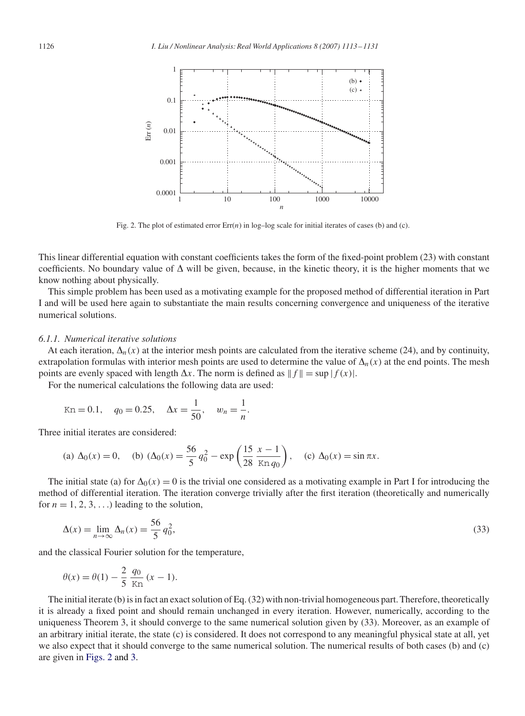<span id="page-13-0"></span>

Fig. 2. The plot of estimated error  $Err(n)$  in log-log scale for initial iterates of cases (b) and (c).

This linear differential equation with constant coefficients takes the form of the fixed-point problem (23) with constant coefficients. No boundary value of  $\Delta$  will be given, because, in the kinetic theory, it is the higher moments that we know nothing about physically.

This simple problem has been used as a motivating example for the proposed method of differential iteration in Part I and will be used here again to substantiate the main results concerning convergence and uniqueness of the iterative numerical solutions.

#### *6.1.1. Numerical iterative solutions*

At each iteration,  $\Delta_n(x)$  at the interior mesh points are calculated from the iterative scheme (24), and by continuity, extrapolation formulas with interior mesh points are used to determine the value of  $\Delta_n(x)$  at the end points. The mesh points are evenly spaced with length  $\Delta x$ . The norm is defined as  $||f|| = \sup |f(x)|$ .

For the numerical calculations the following data are used:

$$
Kn = 0.1, \quad q_0 = 0.25, \quad \Delta x = \frac{1}{50}, \quad w_n = \frac{1}{n}.
$$

Three initial iterates are considered:

(a) 
$$
\Delta_0(x) = 0
$$
, (b)  $(\Delta_0(x) = \frac{56}{5} q_0^2 - \exp\left(\frac{15}{28} \frac{x - 1}{\text{Kn } q_0}\right)$ , (c)  $\Delta_0(x) = \sin \pi x$ .

The initial state (a) for  $\Delta_0(x) = 0$  is the trivial one considered as a motivating example in Part I for introducing the method of differential iteration. The iteration converge trivially after the first iteration (theoretically and numerically for  $n = 1, 2, 3, \ldots$ ) leading to the solution,

$$
\Delta(x) = \lim_{n \to \infty} \Delta_n(x) = \frac{56}{5} q_0^2,\tag{33}
$$

and the classical Fourier solution for the temperature,

$$
\theta(x) = \theta(1) - \frac{2}{5} \frac{q_0}{\text{Kn}} (x - 1).
$$

The initial iterate (b) is in fact an exact solution of Eq. (32) with non-trivial homogeneous part. Therefore, theoretically it is already a fixed point and should remain unchanged in every iteration. However, numerically, according to the uniqueness Theorem 3, it should converge to the same numerical solution given by (33). Moreover, as an example of an arbitrary initial iterate, the state (c) is considered. It does not correspond to any meaningful physical state at all, yet we also expect that it should converge to the same numerical solution. The numerical results of both cases (b) and (c) are given in Figs. 2 and [3.](#page-14-0)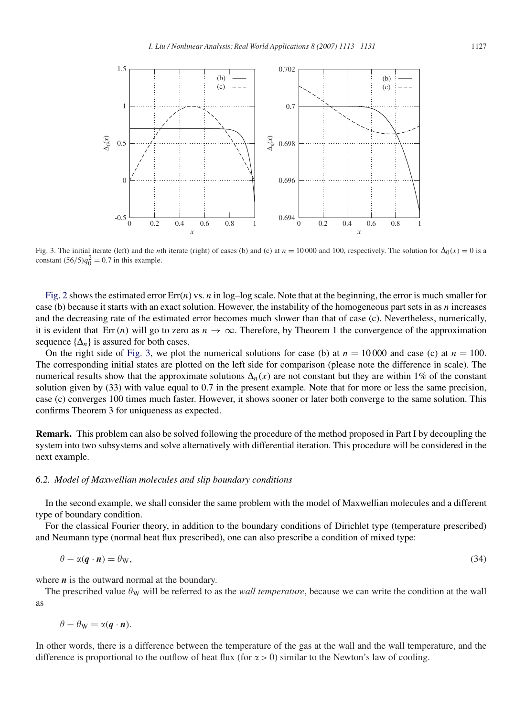<span id="page-14-0"></span>

Fig. 3. The initial iterate (left) and the *n*th iterate (right) of cases (b) and (c) at  $n = 10000$  and 100, respectively. The solution for  $\Delta_0(x) = 0$  is a constant  $(56/5)q_0^2 = 0.7$  in this example.

[Fig. 2](#page-13-0) shows the estimated error  $Err(n)$  vs. n in log-log scale. Note that at the beginning, the error is much smaller for case (b) because it starts with an exact solution. However, the instability of the homogeneous part sets in as n increases and the decreasing rate of the estimated error becomes much slower than that of case (c). Nevertheless, numerically, it is evident that Err(n) will go to zero as  $n \to \infty$ . Therefore, by Theorem 1 the convergence of the approximation sequence  $\{\Delta_n\}$  is assured for both cases.

On the right side of Fig. 3, we plot the numerical solutions for case (b) at  $n = 10000$  and case (c) at  $n = 100$ . The corresponding initial states are plotted on the left side for comparison (please note the difference in scale). The numerical results show that the approximate solutions  $\Delta_n(x)$  are not constant but they are within 1% of the constant solution given by (33) with value equal to 0.7 in the present example. Note that for more or less the same precision, case (c) converges 100 times much faster. However, it shows sooner or later both converge to the same solution. This confirms Theorem 3 for uniqueness as expected.

**Remark.** This problem can also be solved following the procedure of the method proposed in Part I by decoupling the system into two subsystems and solve alternatively with differential iteration. This procedure will be considered in the next example.

#### *6.2. Model of Maxwellian molecules and slip boundary conditions*

In the second example, we shall consider the same problem with the model of Maxwellian molecules and a different type of boundary condition.

For the classical Fourier theory, in addition to the boundary conditions of Dirichlet type (temperature prescribed) and Neumann type (normal heat flux prescribed), one can also prescribe a condition of mixed type:

$$
\theta - \alpha(\mathbf{q} \cdot \mathbf{n}) = \theta_{\mathrm{W}},\tag{34}
$$

where  $n$  is the outward normal at the boundary.

The prescribed value  $\theta_W$  will be referred to as the *wall temperature*, because we can write the condition at the wall as

$$
\theta - \theta_{\rm W} = \alpha(\boldsymbol{q} \cdot \boldsymbol{n}).
$$

In other words, there is a difference between the temperature of the gas at the wall and the wall temperature, and the difference is proportional to the outflow of heat flux (for  $\alpha > 0$ ) similar to the Newton's law of cooling.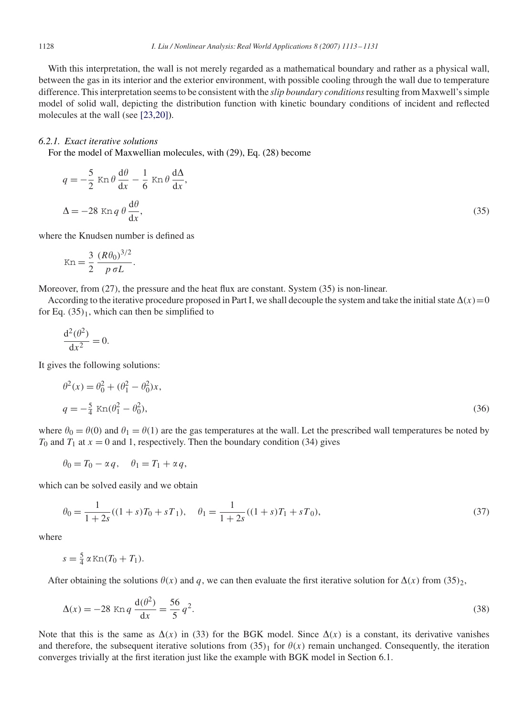With this interpretation, the wall is not merely regarded as a mathematical boundary and rather as a physical wall, between the gas in its interior and the exterior environment, with possible cooling through the wall due to temperature difference. This interpretation seems to be consistent with the *slip boundary conditions*resulting from Maxwell's simple model of solid wall, depicting the distribution function with kinetic boundary conditions of incident and reflected molecules at the wall (see [23,20]).

# *6.2.1. Exact iterative solutions*

For the model of Maxwellian molecules, with (29), Eq. (28) become

$$
q = -\frac{5}{2} \operatorname{Kn} \theta \frac{d\theta}{dx} - \frac{1}{6} \operatorname{Kn} \theta \frac{d\Delta}{dx},
$$
  

$$
\Delta = -28 \operatorname{Kn} q \theta \frac{d\theta}{dx},
$$
 (35)

where the Knudsen number is defined as

$$
Kn = \frac{3}{2} \frac{(R\theta_0)^{3/2}}{p \sigma L}.
$$

Moreover, from (27), the pressure and the heat flux are constant. System (35) is non-linear.

According to the iterative procedure proposed in Part I, we shall decouple the system and take the initial state  $\Delta(x)$  = 0 for Eq.  $(35)_1$ , which can then be simplified to

$$
\frac{\mathrm{d}^2(\theta^2)}{\mathrm{d}x^2} = 0.
$$

It gives the following solutions:

$$
\theta^{2}(x) = \theta_{0}^{2} + (\theta_{1}^{2} - \theta_{0}^{2})x,
$$
  
\n
$$
q = -\frac{5}{4} \operatorname{Kn}(\theta_{1}^{2} - \theta_{0}^{2}),
$$
\n(36)

where  $\theta_0 = \theta(0)$  and  $\theta_1 = \theta(1)$  are the gas temperatures at the wall. Let the prescribed wall temperatures be noted by  $T_0$  and  $T_1$  at  $x = 0$  and 1, respectively. Then the boundary condition (34) gives

$$
\theta_0 = T_0 - \alpha q, \quad \theta_1 = T_1 + \alpha q,
$$

which can be solved easily and we obtain

$$
\theta_0 = \frac{1}{1+2s}((1+s)T_0 + sT_1), \quad \theta_1 = \frac{1}{1+2s}((1+s)T_1 + sT_0),\tag{37}
$$

where

$$
s = \frac{5}{4} \alpha \operatorname{Kn}(T_0 + T_1).
$$

After obtaining the solutions  $\theta(x)$  and q, we can then evaluate the first iterative solution for  $\Delta(x)$  from  $(35)_2$ ,

$$
\Delta(x) = -28 \text{ Kn } q \frac{d(\theta^2)}{dx} = \frac{56}{5} q^2.
$$
 (38)

Note that this is the same as  $\Delta(x)$  in (33) for the BGK model. Since  $\Delta(x)$  is a constant, its derivative vanishes and therefore, the subsequent iterative solutions from  $(35)_1$  for  $\theta(x)$  remain unchanged. Consequently, the iteration converges trivially at the first iteration just like the example with BGK model in Section 6.1.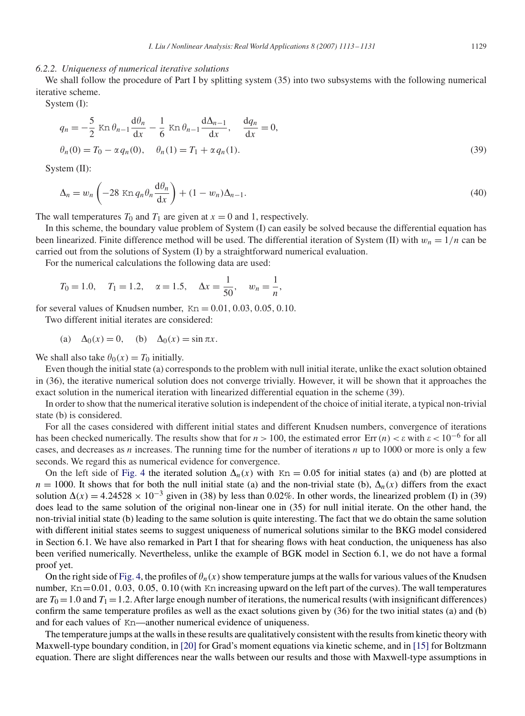## *6.2.2. Uniqueness of numerical iterative solutions*

We shall follow the procedure of Part I by splitting system (35) into two subsystems with the following numerical iterative scheme.

System (I):

$$
q_n = -\frac{5}{2} \operatorname{Kn} \theta_{n-1} \frac{d\theta_n}{dx} - \frac{1}{6} \operatorname{Kn} \theta_{n-1} \frac{d\Delta_{n-1}}{dx}, \quad \frac{dq_n}{dx} = 0,
$$
  

$$
\theta_n(0) = T_0 - \alpha q_n(0), \quad \theta_n(1) = T_1 + \alpha q_n(1).
$$
 (39)

System (II):

$$
\Delta_n = w_n \left( -28 \operatorname{Kn} q_n \theta_n \frac{\mathrm{d} \theta_n}{\mathrm{d} x} \right) + (1 - w_n) \Delta_{n-1}.
$$
\n
$$
(40)
$$

The wall temperatures  $T_0$  and  $T_1$  are given at  $x = 0$  and 1, respectively.

In this scheme, the boundary value problem of System (I) can easily be solved because the differential equation has been linearized. Finite difference method will be used. The differential iteration of System (II) with  $w_n = 1/n$  can be carried out from the solutions of System (I) by a straightforward numerical evaluation.

For the numerical calculations the following data are used:

$$
T_0 = 1.0
$$
,  $T_1 = 1.2$ ,  $\alpha = 1.5$ ,  $\Delta x = \frac{1}{50}$ ,  $w_n = \frac{1}{n}$ ,

for several values of Knudsen number,  $Kn = 0.01, 0.03, 0.05, 0.10$ .

Two different initial iterates are considered:

(a)  $\Delta_0(x) = 0$ , (b)  $\Delta_0(x) = \sin \pi x$ .

We shall also take  $\theta_0(x) = T_0$  initially.

Even though the initial state (a) corresponds to the problem with null initial iterate, unlike the exact solution obtained in (36), the iterative numerical solution does not converge trivially. However, it will be shown that it approaches the exact solution in the numerical iteration with linearized differential equation in the scheme (39).

In order to show that the numerical iterative solution is independent of the choice of initial iterate, a typical non-trivial state (b) is considered.

For all the cases considered with different initial states and different Knudsen numbers, convergence of iterations has been checked numerically. The results show that for  $n > 100$ , the estimated error Err  $(n) < \varepsilon$  with  $\varepsilon < 10^{-6}$  for all cases, and decreases as  $n$  increases. The running time for the number of iterations  $n$  up to 1000 or more is only a few seconds. We regard this as numerical evidence for convergence.

On the left side of [Fig. 4](#page-17-0) the iterated solution  $\Delta_n(x)$  with Kn = 0.05 for initial states (a) and (b) are plotted at  $n = 1000$ . It shows that for both the null initial state (a) and the non-trivial state (b),  $\Delta_n(x)$  differs from the exact solution  $\Delta(x) = 4.24528 \times 10^{-3}$  given in (38) by less than 0.02%. In other words, the linearized problem (I) in (39) does lead to the same solution of the original non-linear one in (35) for null initial iterate. On the other hand, the non-trivial initial state (b) leading to the same solution is quite interesting. The fact that we do obtain the same solution with different initial states seems to suggest uniqueness of numerical solutions similar to the BKG model considered in Section 6.1. We have also remarked in Part I that for shearing flows with heat conduction, the uniqueness has also been verified numerically. Nevertheless, unlike the example of BGK model in Section 6.1, we do not have a formal proof yet.

On the right side of [Fig. 4,](#page-17-0) the profiles of  $\theta_n(x)$  show temperature jumps at the walls for various values of the Knudsen number, Kn=0.01, 0.03, 0.05, 0.10 (with Kn increasing upward on the left part of the curves). The wall temperatures are  $T_0 = 1.0$  and  $T_1 = 1.2$ . After large enough number of iterations, the numerical results (with insignificant differences) confirm the same temperature profiles as well as the exact solutions given by (36) for the two initial states (a) and (b) and for each values of Kn—another numerical evidence of uniqueness.

The temperature jumps at the walls in these results are qualitatively consistent with the results from kinetic theory with Maxwell-type boundary condition, in [\[20\]](#page-18-0) for Grad's moment equations via kinetic scheme, and in [\[15\]](#page-18-0) for Boltzmann equation. There are slight differences near the walls between our results and those with Maxwell-type assumptions in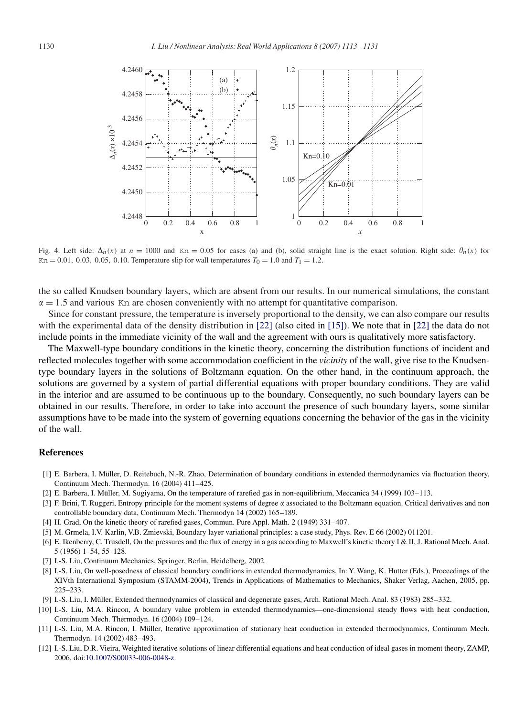<span id="page-17-0"></span>

Fig. 4. Left side:  $\Delta_n(x)$  at  $n = 1000$  and Kn = 0.05 for cases (a) and (b), solid straight line is the exact solution. Right side:  $\theta_n(x)$  for Kn = 0.01, 0.03, 0.05, 0.10. Temperature slip for wall temperatures  $T_0 = 1.0$  and  $T_1 = 1.2$ .

the so called Knudsen boundary layers, which are absent from our results. In our numerical simulations, the constant  $\alpha = 1.5$  and various Kn are chosen conveniently with no attempt for quantitative comparison.

Since for constant pressure, the temperature is inversely proportional to the density, we can also compare our results with the experimental data of the density distribution in [\[22\]](#page-18-0) (also cited in [\[15\]\)](#page-18-0). We note that in [\[22\]](#page-18-0) the data do not include points in the immediate vicinity of the wall and the agreement with ours is qualitatively more satisfactory.

The Maxwell-type boundary conditions in the kinetic theory, concerning the distribution functions of incident and reflected molecules together with some accommodation coefficient in the *vicinity* of the wall, give rise to the Knudsentype boundary layers in the solutions of Boltzmann equation. On the other hand, in the continuum approach, the solutions are governed by a system of partial differential equations with proper boundary conditions. They are valid in the interior and are assumed to be continuous up to the boundary. Consequently, no such boundary layers can be obtained in our results. Therefore, in order to take into account the presence of such boundary layers, some similar assumptions have to be made into the system of governing equations concerning the behavior of the gas in the vicinity of the wall.

## **References**

- [1] E. Barbera, I. Müller, D. Reitebuch, N.-R. Zhao, Determination of boundary conditions in extended thermodynamics via fluctuation theory, Continuum Mech. Thermodyn. 16 (2004) 411–425.
- [2] E. Barbera, I. Müller, M. Sugiyama, On the temperature of rarefied gas in non-equilibrium, Meccanica 34 (1999) 103–113.
- [3] F. Brini, T. Ruggeri, Entropy principle for the moment systems of degree  $\alpha$  associated to the Boltzmann equation. Critical derivatives and non controllable boundary data, Continuum Mech. Thermodyn 14 (2002) 165–189.
- [4] H. Grad, On the kinetic theory of rarefied gases, Commun. Pure Appl. Math. 2 (1949) 331–407.
- [5] M. Grmela, I.V. Karlin, V.B. Zmievski, Boundary layer variational principles: a case study, Phys. Rev. E 66 (2002) 011201.
- [6] E. Ikenberry, C. Trusdell, On the pressures and the flux of energy in a gas according to Maxwell's kinetic theory I & II, J. Rational Mech. Anal. 5 (1956) 1–54, 55–128.
- [7] I.-S. Liu, Continuum Mechanics, Springer, Berlin, Heidelberg, 2002.
- [8] I.-S. Liu, On well-posedness of classical boundary conditions in extended thermodynamics, In: Y. Wang, K. Hutter (Eds.), Proceedings of the XIVth International Symposium (STAMM-2004), Trends in Applications of Mathematics to Mechanics, Shaker Verlag, Aachen, 2005, pp. 225–233.
- [9] I.-S. Liu, I. Müller, Extended thermodynamics of classical and degenerate gases, Arch. Rational Mech. Anal. 83 (1983) 285–332.
- [10] I.-S. Liu, M.A. Rincon, A boundary value problem in extended thermodynamics—one-dimensional steady flows with heat conduction, Continuum Mech. Thermodyn. 16 (2004) 109–124.
- [11] I.-S. Liu, M.A. Rincon, I. Müller, Iterative approximation of stationary heat conduction in extended thermodynamics, Continuum Mech. Thermodyn. 14 (2002) 483–493.
- [12] I.-S. Liu, D.R. Vieira, Weighted iterative solutions of linear differential equations and heat conduction of ideal gases in moment theory, ZAMP, 2006, doi[:10.1007/S00033-006-0048-z.](#page-0-0)